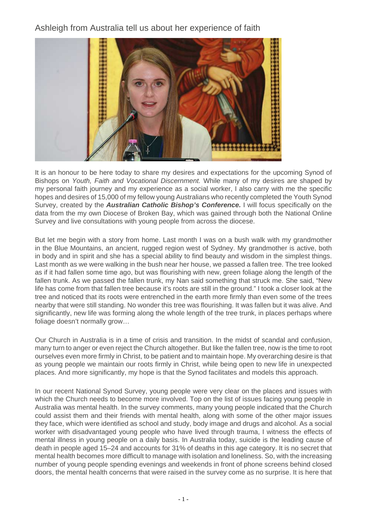Ashleigh from Australia tell us about her experience of faith



It is an honour to be here today to share my desires and expectations for the upcoming Synod of Bishops on Youth, Faith and Vocational Discernment. While many of my desires are shaped by my personal faith journey and my experience as a social worker, I also carry with me the specific hopes and desires of 15,000 of my fellow young Australians who recently completed the Youth Synod Survey, created by the **Australian Catholic Bishop's Conference.** I will focus specifically on the data from the my own Diocese of Broken Bay, which was gained through both the National Online Survey and live consultations with young people from across the diocese.

But let me begin with a story from home. Last month I was on a bush walk with my grandmother in the Blue Mountains, an ancient, rugged region west of Sydney. My grandmother is active, both in body and in spirit and she has a special ability to find beauty and wisdom in the simplest things. Last month as we were walking in the bush near her house, we passed a fallen tree. The tree looked as if it had fallen some time ago, but was flourishing with new, green foliage along the length of the fallen trunk. As we passed the fallen trunk, my Nan said something that struck me. She said, "New life has come from that fallen tree because it's roots are still in the ground." I took a closer look at the tree and noticed that its roots were entrenched in the earth more firmly than even some of the trees nearby that were still standing. No wonder this tree was flourishing. It was fallen but it was alive. And significantly, new life was forming along the whole length of the tree trunk, in places perhaps where foliage doesn't normally grow…

Our Church in Australia is in a time of crisis and transition. In the midst of scandal and confusion, many turn to anger or even reject the Church altogether. But like the fallen tree, now is the time to root ourselves even more firmly in Christ, to be patient and to maintain hope. My overarching desire is that as young people we maintain our roots firmly in Christ, while being open to new life in unexpected places. And more significantly, my hope is that the Synod facilitates and models this approach.

In our recent National Synod Survey, young people were very clear on the places and issues with which the Church needs to become more involved. Top on the list of issues facing young people in Australia was mental health. In the survey comments, many young people indicated that the Church could assist them and their friends with mental health, along with some of the other major issues they face, which were identified as school and study, body image and drugs and alcohol. As a social worker with disadvantaged young people who have lived through trauma, I witness the effects of mental illness in young people on a daily basis. In Australia today, suicide is the leading cause of death in people aged 15–24 and accounts for 31% of deaths in this age category. It is no secret that mental health becomes more difficult to manage with isolation and loneliness. So, with the increasing number of young people spending evenings and weekends in front of phone screens behind closed doors, the mental health concerns that were raised in the survey come as no surprise. It is here that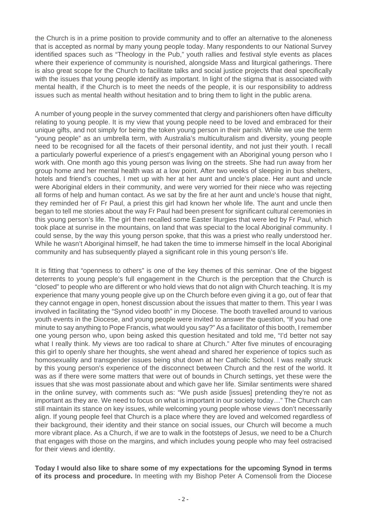the Church is in a prime position to provide community and to offer an alternative to the aloneness that is accepted as normal by many young people today. Many respondents to our National Survey identified spaces such as "Theology in the Pub," youth rallies and festival style events as places where their experience of community is nourished, alongside Mass and liturgical gatherings. There is also great scope for the Church to facilitate talks and social justice projects that deal specifically with the issues that young people identify as important. In light of the stigma that is associated with mental health, if the Church is to meet the needs of the people, it is our responsibility to address issues such as mental health without hesitation and to bring them to light in the public arena.

A number of young people in the survey commented that clergy and parishioners often have difficulty relating to young people. It is my view that young people need to be loved and embraced for their unique gifts, and not simply for being the token young person in their parish. While we use the term "young people" as an umbrella term, with Australia's multiculturalism and diversity, young people need to be recognised for all the facets of their personal identity, and not just their youth. I recall a particularly powerful experience of a priest's engagement with an Aboriginal young person who I work with. One month ago this young person was living on the streets. She had run away from her group home and her mental health was at a low point. After two weeks of sleeping in bus shelters, hotels and friend's couches, I met up with her at her aunt and uncle's place. Her aunt and uncle were Aboriginal elders in their community, and were very worried for their niece who was rejecting all forms of help and human contact. As we sat by the fire at her aunt and uncle's house that night, they reminded her of Fr Paul, a priest this girl had known her whole life. The aunt and uncle then began to tell me stories about the way Fr Paul had been present for significant cultural ceremonies in this young person's life. The girl then recalled some Easter liturgies that were led by Fr Paul, which took place at sunrise in the mountains, on land that was special to the local Aboriginal community. I could sense, by the way this young person spoke, that this was a priest who really understood her. While he wasn't Aboriginal himself, he had taken the time to immerse himself in the local Aboriginal community and has subsequently played a significant role in this young person's life.

It is fitting that "openness to others" is one of the key themes of this seminar. One of the biggest deterrents to young people's full engagement in the Church is the perception that the Church is "closed" to people who are different or who hold views that do not align with Church teaching. It is my experience that many young people give up on the Church before even giving it a go, out of fear that they cannot engage in open, honest discussion about the issues that matter to them. This year I was involved in facilitating the "Synod video booth" in my Diocese. The booth travelled around to various youth events in the Diocese, and young people were invited to answer the question, "If you had one minute to say anything to Pope Francis, what would you say?" As a facilitator of this booth, I remember one young person who, upon being asked this question hesitated and told me, "I'd better not say what I really think. My views are too radical to share at Church." After five minutes of encouraging this girl to openly share her thoughts, she went ahead and shared her experience of topics such as homosexuality and transgender issues being shut down at her Catholic School. I was really struck by this young person's experience of the disconnect between Church and the rest of the world. It was as if there were some matters that were out of bounds in Church settings, yet these were the issues that she was most passionate about and which gave her life. Similar sentiments were shared in the online survey, with comments such as: "We push aside [issues] pretending they're not as important as they are. We need to focus on what is important in our society today…" The Church can still maintain its stance on key issues, while welcoming young people whose views don't necessarily align. If young people feel that Church is a place where they are loved and welcomed regardless of their background, their identity and their stance on social issues, our Church will become a much more vibrant place. As a Church, if we are to walk in the footsteps of Jesus, we need to be a Church that engages with those on the margins, and which includes young people who may feel ostracised for their views and identity.

**Today I would also like to share some of my expectations for the upcoming Synod in terms of its process and procedure.** In meeting with my Bishop Peter A Comensoli from the Diocese